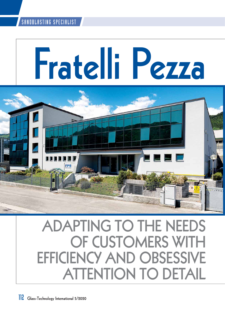# **Fratelli Pezza**



## **ADAPTING TO THE NEEDS OF CUSTOMERS WITH EFFICIENCY AND OBSESSIVE ATTENTION TO DETAIL**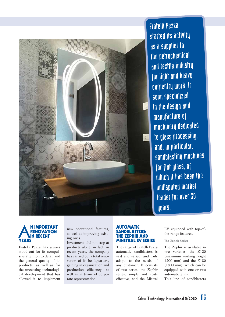

Fratelli Pezza started its activity as a supplier to the petrochemical and textile industry for light and heavy carpentry work. It soon specialized in the design and manufacture of machinery dedicated to glass processing, and, in particular, sandblasting machines for flat glass, of which it has been the undisputed market leader for over 30 years.

#### **ARENOVATION**<br> **ARENOVATION**<br> **YEARS RENOVAT IN RECENT YEARS**

Fratelli Pezza has always stood out for its compulsive attention to detail and the general quality of its products, as well as for the unceasing technological development that has allowed it to implement new operational features, as well as improving existing ones.

Investments did not stop at products alone; in fact, in recent years, the company has carried out a total renovation of its headquarters, gaining in organization and production efficiency, as well as in terms of corporate representation.

#### **AUTOMATIC SANDBLASTERS: E ZEPHIR AND MINSTRAL EV SERIES**

The range of Fratelli Pezza automatic sandblasters is vast and varied, and truly adapts to the needs of any customer. It consists of two series: the Zephir series, simple and costeffective, and the Mistral EV, equipped with top-ofthe-range features.

#### **The Zephir Series**

The Zephir is available in two varieties, the Z120 (maximum working height 1200 mm) and the Z180 (1800 mm), which can be equipped with one or two automatic guns.

This line of sandblasters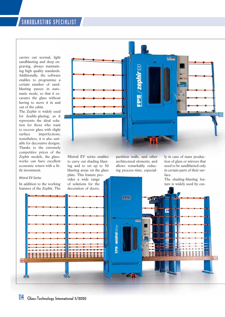carries out normal, light sandblasting and deep engraving, always maintaining high quality standards. Additionally, the software enables to programme a certain number of sandblasting passes in automatic mode, so that it excavates the glass without having to move it in and out of the cabin.

The Zephir is widely used for double-glazing, as it represents the ideal solution for those who want to recover glass with slight surface imperfections; nonetheless, it is also suitable for decorative designs. Thanks to the extremely competitive prices of the Zephir models, the glassworks can have excellent economic return with a little investment.

#### **Mistral EV Series**

0

In addition to the working features of the Zephir, The



Mistral EV series enables to carry out shading blasting and to set up to 50 blasting areas on the glass plate. This feature provides a wide range of solutions for the decoration of doors,

partition walls, and other architectural elements, and allows remarkably reducing process-time, especial-

--

原真

FPE/mistral280e

ly in case of mass production of glass or mirrors that need to be sandblasted only in certain parts of their surface.

The shading-blasting feature is widely used by cus-

FF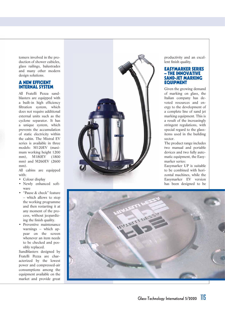tomers involved in the production of shower cubicles, glass railings, balustrades and many other modern design solutions.

#### **A NEW EFFICIENT INTERNAL SYSTEM**

All Fratelli Pezza sandblasters are equipped with a built-in high efficiency filtration system, which does not require additional external units such as the cyclone separator. It has a unique system, which prevents the accumulation of static electricity within the cabin. The Mistral EV series is available in three models: M120EV (maximum working height 1200 mm), M180EV (1800 mm) and M260EV (2600 mm).

All cabins are equipped with:

• Colour display

- Newly enhanced software
- "Pause & check" feature – which allows to stop the working programme and then restarting it at any moment of the process, without jeopardizing the finish quality.
- Preventive maintenance warnings – which appear on the screen whenever an item needs to be checked and possibly replaced.

Sandblasters designed by Fratelli Pezza are characterized by the lowest power and compressed-air consumptions among the equipment available on the market and provide great



productivity and an excellent finish quality.

#### **EASYMARKER SERIES – THE INNOVATIVE SAND-JET MARKING EQUIPMENT**

Given the growing demand of marking on glass, the Italian company has devoted resources and energy to the development of a complete line of sand jet marking equipment. This is a result of the increasingly stringent regulations, with special regard to the glassitems used in the building sector.

The product range includes two manual and portable devices and two fully automatic equipment, the Easymarker series:

Easymarker UP is suitable to be combined with horizontal machines, while the Easymarker EV version has been designed to be